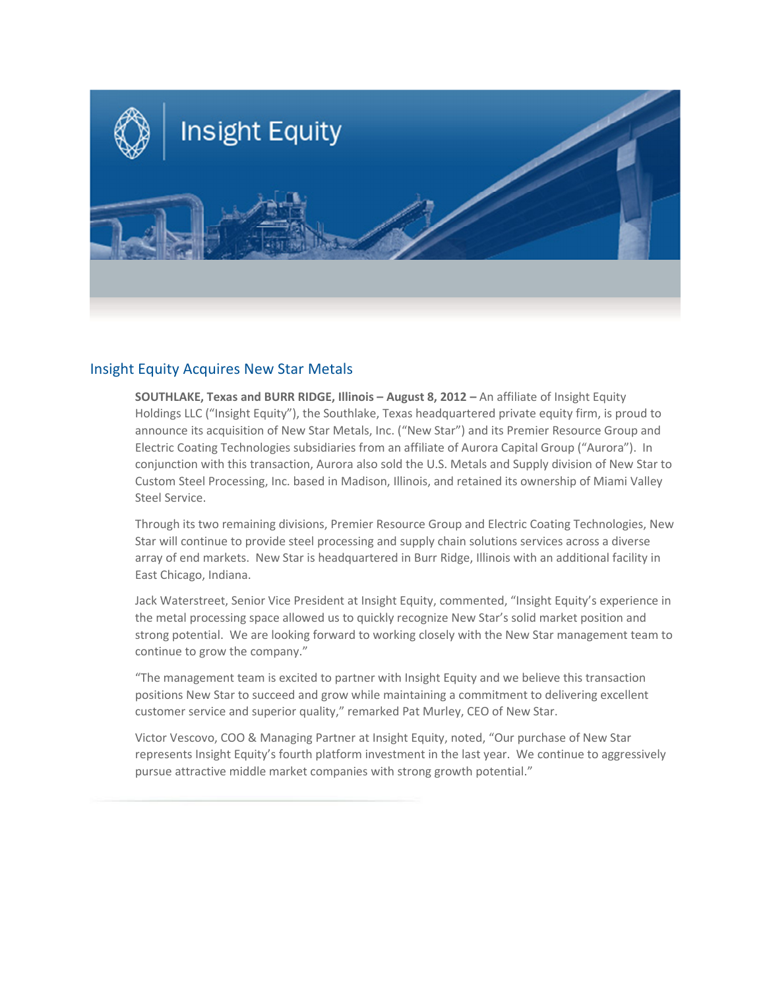

## Insight Equity Acquires New Star Metals

SOUTHLAKE, Texas and BURR RIDGE, Illinois - August 8, 2012 - An affiliate of Insight Equity Holdings LLC ("Insight Equity"), the Southlake, Texas headquartered private equity firm, is proud to announce its acquisition of New Star Metals, Inc. ("New Star") and its Premier Resource Group and Electric Coating Technologies subsidiaries from an affiliate of Aurora Capital Group ("Aurora"). In conjunction with this transaction, Aurora also sold the U.S. Metals and Supply division of New Star to Custom Steel Processing, Inc. based in Madison, Illinois, and retained its ownership of Miami Valley Steel Service.

Through its two remaining divisions, Premier Resource Group and Electric Coating Technologies, New Star will continue to provide steel processing and supply chain solutions services across a diverse array of end markets. New Star is headquartered in Burr Ridge, Illinois with an additional facility in East Chicago, Indiana.

Jack Waterstreet, Senior Vice President at Insight Equity, commented, "Insight Equity's experience in the metal processing space allowed us to quickly recognize New Star's solid market position and strong potential. We are looking forward to working closely with the New Star management team to continue to grow the company."

"The management team is excited to partner with Insight Equity and we believe this transaction positions New Star to succeed and grow while maintaining a commitment to delivering excellent customer service and superior quality," remarked Pat Murley, CEO of New Star.

Victor Vescovo, COO & Managing Partner at Insight Equity, noted, "Our purchase of New Star represents Insight Equity's fourth platform investment in the last year. We continue to aggressively pursue attractive middle market companies with strong growth potential."